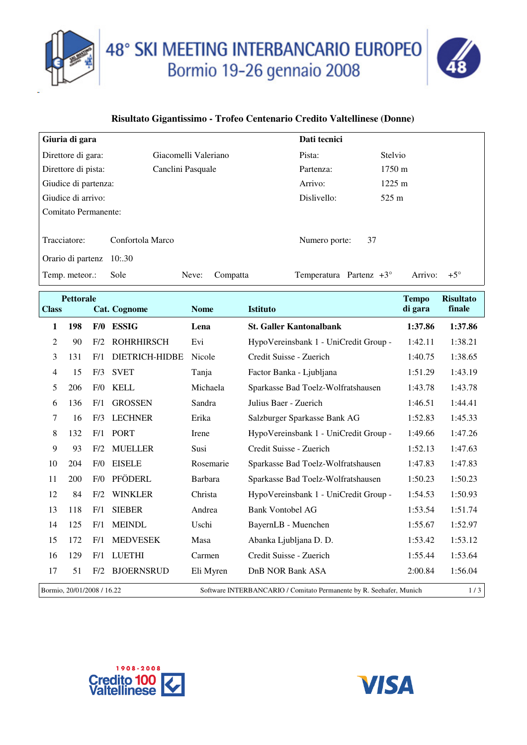



## **Risultato Gigantissimo - Trofeo Centenario Credito Valtellinese (Donne)**

| Giuria di gara                    |                           |                      |          | Dati tecnici                     |                       |  |
|-----------------------------------|---------------------------|----------------------|----------|----------------------------------|-----------------------|--|
| Direttore di gara:                |                           | Giacomelli Valeriano |          | Pista:                           | Stelvio               |  |
| Direttore di pista:               |                           | Canclini Pasquale    |          | Partenza:                        | $1750 \text{ m}$      |  |
| Giudice di partenza:              |                           |                      |          | Arrivo:                          | $1225 \text{ m}$      |  |
| Giudice di arrivo:                |                           |                      |          | Dislivello:                      | 525 m                 |  |
| Comitato Permanente:              |                           |                      |          |                                  |                       |  |
| Tracciatore:<br>Orario di partenz | Confortola Marco<br>10:30 |                      |          | 37<br>Numero porte:              |                       |  |
| Temp. meteor.:                    | Sole                      | Neve:                | Compatta | Temperatura Partenz $+3^{\circ}$ | $+5^\circ$<br>Arrivo: |  |

| <b>Pettorale</b><br><b>Class</b><br><b>Cat. Cognome</b> |     | <b>Nome</b> | <b>Istituto</b>       | <b>Tempo</b><br>di gara | <b>Risultato</b><br>finale                                          |         |         |
|---------------------------------------------------------|-----|-------------|-----------------------|-------------------------|---------------------------------------------------------------------|---------|---------|
| 1                                                       | 198 | F/0         | <b>ESSIG</b>          | Lena                    | <b>St. Galler Kantonalbank</b>                                      | 1:37.86 | 1:37.86 |
|                                                         |     |             |                       |                         |                                                                     |         |         |
| $\overline{c}$                                          | 90  | F/2         | <b>ROHRHIRSCH</b>     | Evi                     | HypoVereinsbank 1 - UniCredit Group -                               | 1:42.11 | 1:38.21 |
| 3                                                       | 131 | F/1         | <b>DIETRICH-HIDBE</b> | <b>Nicole</b>           | Credit Suisse - Zuerich                                             | 1:40.75 | 1:38.65 |
| 4                                                       | 15  | F/3         | <b>SVET</b>           | Tanja                   | Factor Banka - Ljubljana                                            | 1:51.29 | 1:43.19 |
| 5                                                       | 206 | F/0         | KELL                  | Michaela                | Sparkasse Bad Toelz-Wolfratshausen                                  | 1:43.78 | 1:43.78 |
| 6                                                       | 136 | F/1         | <b>GROSSEN</b>        | Sandra                  | Julius Baer - Zuerich                                               | 1:46.51 | 1:44.41 |
| 7                                                       | 16  | F/3         | <b>LECHNER</b>        | Erika                   | Salzburger Sparkasse Bank AG                                        | 1:52.83 | 1:45.33 |
| 8                                                       | 132 | F/1         | <b>PORT</b>           | Irene                   | HypoVereinsbank 1 - UniCredit Group -                               | 1:49.66 | 1:47.26 |
| 9                                                       | 93  | F/2         | <b>MUELLER</b>        | Susi                    | Credit Suisse - Zuerich                                             | 1:52.13 | 1:47.63 |
| 10                                                      | 204 | F/0         | <b>EISELE</b>         | Rosemarie               | Sparkasse Bad Toelz-Wolfratshausen                                  | 1:47.83 | 1:47.83 |
| 11                                                      | 200 | F/0         | PFÖDERL               | Barbara                 | Sparkasse Bad Toelz-Wolfratshausen                                  | 1:50.23 | 1:50.23 |
| 12                                                      | 84  | F/2         | <b>WINKLER</b>        | Christa                 | HypoVereinsbank 1 - UniCredit Group -                               | 1:54.53 | 1:50.93 |
| 13                                                      | 118 | F/1         | <b>SIEBER</b>         | Andrea                  | <b>Bank Vontobel AG</b>                                             | 1:53.54 | 1:51.74 |
| 14                                                      | 125 | F/1         | <b>MEINDL</b>         | Uschi                   | BayernLB - Muenchen                                                 | 1:55.67 | 1:52.97 |
| 15                                                      | 172 | F/1         | <b>MEDVESEK</b>       | Masa                    | Abanka Ljubljana D. D.                                              | 1:53.42 | 1:53.12 |
| 16                                                      | 129 | F/1         | <b>LUETHI</b>         | Carmen                  | Credit Suisse - Zuerich                                             | 1:55.44 | 1:53.64 |
| 17                                                      | 51  | F/2         | <b>BJOERNSRUD</b>     | Eli Myren               | DnB NOR Bank ASA                                                    | 2:00.84 | 1:56.04 |
| Bormio, 20/01/2008 / 16.22                              |     |             |                       |                         | Software INTERBANCARIO / Comitato Permanente by R. Seehafer, Munich |         | 1/3     |



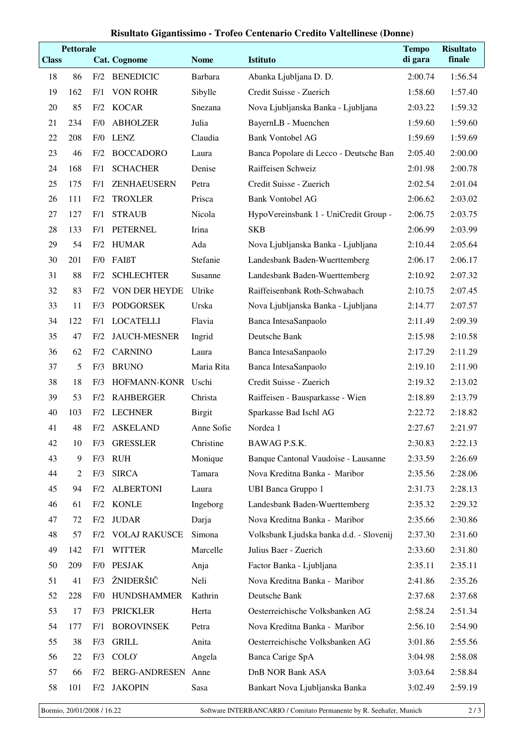## **Risultato Gigantissimo - Trofeo Centenario Credito Valtellinese (Donne)**

| <b>Class</b> | <b>Pettorale</b> |     | <b>Cat. Cognome</b>  | <b>Nome</b>   | <b>Istituto</b>                         | <b>Tempo</b><br>di gara | <b>Risultato</b><br>finale |
|--------------|------------------|-----|----------------------|---------------|-----------------------------------------|-------------------------|----------------------------|
| 18           | 86               | F/2 | <b>BENEDICIC</b>     | Barbara       | Abanka Ljubljana D. D.                  | 2:00.74                 | 1:56.54                    |
| 19           | 162              | F/1 | <b>VON ROHR</b>      | Sibylle       | Credit Suisse - Zuerich                 | 1:58.60                 | 1:57.40                    |
| 20           | 85               | F/2 | <b>KOCAR</b>         | Snezana       | Nova Ljubljanska Banka - Ljubljana      | 2:03.22                 | 1:59.32                    |
| 21           | 234              | F/0 | <b>ABHOLZER</b>      | Julia         | BayernLB - Muenchen                     | 1:59.60                 | 1:59.60                    |
| 22           | 208              | F/0 | <b>LENZ</b>          | Claudia       | <b>Bank Vontobel AG</b>                 | 1:59.69                 | 1:59.69                    |
| 23           | 46               | F/2 | <b>BOCCADORO</b>     | Laura         | Banca Popolare di Lecco - Deutsche Ban  | 2:05.40                 | 2:00.00                    |
| 24           | 168              | F/1 | <b>SCHACHER</b>      | Denise        | Raiffeisen Schweiz                      | 2:01.98                 | 2:00.78                    |
| 25           | 175              | F/1 | ZENHAEUSERN          | Petra         | Credit Suisse - Zuerich                 | 2:02.54                 | 2:01.04                    |
| 26           | 111              | F/2 | <b>TROXLER</b>       | Prisca        | <b>Bank Vontobel AG</b>                 | 2:06.62                 | 2:03.02                    |
| 27           | 127              | F/1 | <b>STRAUB</b>        | Nicola        | HypoVereinsbank 1 - UniCredit Group -   | 2:06.75                 | 2:03.75                    |
| 28           | 133              | F/1 | <b>PETERNEL</b>      | Irina         | <b>SKB</b>                              | 2:06.99                 | 2:03.99                    |
| 29           | 54               | F/2 | <b>HUMAR</b>         | Ada           | Nova Ljubljanska Banka - Ljubljana      | 2:10.44                 | 2:05.64                    |
| 30           | 201              | F/0 | FAIßT                | Stefanie      | Landesbank Baden-Wuerttemberg           | 2:06.17                 | 2:06.17                    |
| 31           | 88               | F/2 | <b>SCHLECHTER</b>    | Susanne       | Landesbank Baden-Wuerttemberg           | 2:10.92                 | 2:07.32                    |
| 32           | 83               | F/2 | VON DER HEYDE        | Ulrike        | Raiffeisenbank Roth-Schwabach           | 2:10.75                 | 2:07.45                    |
| 33           | 11               | F/3 | <b>PODGORSEK</b>     | Urska         | Nova Ljubljanska Banka - Ljubljana      | 2:14.77                 | 2:07.57                    |
| 34           | 122              | F/1 | <b>LOCATELLI</b>     | Flavia        | Banca IntesaSanpaolo                    | 2:11.49                 | 2:09.39                    |
| 35           | 47               | F/2 | <b>JAUCH-MESNER</b>  | Ingrid        | Deutsche Bank                           | 2:15.98                 | 2:10.58                    |
| 36           | 62               | F/2 | <b>CARNINO</b>       | Laura         | Banca IntesaSanpaolo                    | 2:17.29                 | 2:11.29                    |
| 37           | 5                | F/3 | <b>BRUNO</b>         | Maria Rita    | Banca IntesaSanpaolo                    | 2:19.10                 | 2:11.90                    |
| 38           | 18               | F/3 | HOFMANN-KONR         | Uschi         | Credit Suisse - Zuerich                 | 2:19.32                 | 2:13.02                    |
| 39           | 53               | F/2 | <b>RAHBERGER</b>     | Christa       | Raiffeisen - Bausparkasse - Wien        | 2:18.89                 | 2:13.79                    |
| 40           | 103              | F/2 | <b>LECHNER</b>       | <b>Birgit</b> | Sparkasse Bad Ischl AG                  | 2:22.72                 | 2:18.82                    |
| 41           | 48               | F/2 | <b>ASKELAND</b>      | Anne Sofie    | Nordea 1                                | 2:27.67                 | 2:21.97                    |
| 42           | 10               | F/3 | <b>GRESSLER</b>      | Christine     | BAWAG P.S.K.                            | 2:30.83                 | 2:22.13                    |
| 43           | 9                | F/3 | <b>RUH</b>           | Monique       | Banque Cantonal Vaudoise - Lausanne     | 2:33.59                 | 2:26.69                    |
| 44           | $\overline{2}$   | F/3 | <b>SIRCA</b>         | Tamara        | Nova Kreditna Banka - Maribor           | 2:35.56                 | 2:28.06                    |
| 45           | 94               | F/2 | <b>ALBERTONI</b>     | Laura         | <b>UBI Banca Gruppo 1</b>               | 2:31.73                 | 2:28.13                    |
| 46           | 61               | F/2 | <b>KONLE</b>         | Ingeborg      | Landesbank Baden-Wuerttemberg           | 2:35.32                 | 2:29.32                    |
| 47           | 72               | F/2 | <b>JUDAR</b>         | Darja         | Nova Kreditna Banka - Maribor           | 2:35.66                 | 2:30.86                    |
| 48           | 57               | F/2 | <b>VOLAJ RAKUSCE</b> | Simona        | Volksbank Ljudska banka d.d. - Slovenij | 2:37.30                 | 2:31.60                    |
| 49           | 142              | F/1 | <b>WITTER</b>        | Marcelle      | Julius Baer - Zuerich                   | 2:33.60                 | 2:31.80                    |
| 50           | 209              | F/0 | <b>PESJAK</b>        | Anja          | Factor Banka - Ljubljana                | 2:35.11                 | 2:35.11                    |
| 51           | 41               | F/3 | ŽNIDERŠIČ            | Neli          | Nova Kreditna Banka - Maribor           | 2:41.86                 | 2:35.26                    |
| 52           | 228              | F/0 | <b>HUNDSHAMMER</b>   | Kathrin       | Deutsche Bank                           | 2:37.68                 | 2:37.68                    |
| 53           | 17               | F/3 | <b>PRICKLER</b>      | Herta         | Oesterreichische Volksbanken AG         | 2:58.24                 | 2:51.34                    |
| 54           | 177              | F/1 | <b>BOROVINSEK</b>    | Petra         | Nova Kreditna Banka - Maribor           | 2:56.10                 | 2:54.90                    |
| 55           | 38               | F/3 | <b>GRILL</b>         | Anita         | Oesterreichische Volksbanken AG         | 3:01.86                 | 2:55.56                    |
| 56           | 22               | F/3 | COLO'                | Angela        | Banca Carige SpA                        | 3:04.98                 | 2:58.08                    |
| 57           | 66               | F/2 | <b>BERG-ANDRESEN</b> | Anne          | DnB NOR Bank ASA                        | 3:03.64                 | 2:58.84                    |
| 58           | 101              | F/2 | <b>JAKOPIN</b>       | Sasa          | Bankart Nova Ljubljanska Banka          | 3:02.49                 | 2:59.19                    |